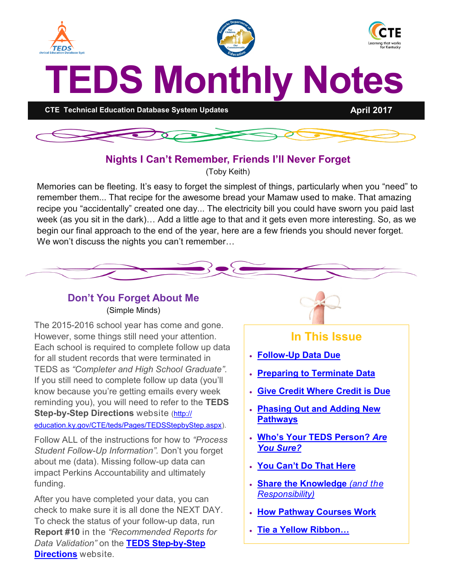<span id="page-0-0"></span>



## **Nights I Can't Remember, Friends I'll Never Forget**

(Toby Keith)

Memories can be fleeting. It's easy to forget the simplest of things, particularly when you "need" to remember them... That recipe for the awesome bread your Mamaw used to make. That amazing recipe you "accidentally" created one day... The electricity bill you could have sworn you paid last week (as you sit in the dark)… Add a little age to that and it gets even more interesting. So, as we begin our final approach to the end of the year, here are a few friends you should never forget. We won't discuss the nights you can't remember...



#### **Don't You Forget About Me** (Simple Minds)

The 2015-2016 school year has come and gone. However, some things still need your attention. Each school is required to complete follow up data for all student records that were terminated in TEDS as *"Completer and High School Graduate"*. If you still need to complete follow up data (you'll know because you're getting emails every week reminding you), you will need to refer to the **TEDS Step-by-Step Directions** website [\(http://](http://education.ky.gov/CTE/teds/Pages/TEDSStepbyStep.aspx) [education.ky.gov/CTE/teds/Pages/TEDSStepbyStep.aspx\).](http://education.ky.gov/CTE/teds/Pages/TEDSStepbyStep.aspx)

Follow ALL of the instructions for how to *"Process Student Follow-Up Information".* Don't you forget about me (data). Missing follow-up data can impact Perkins Accountability and ultimately funding.

After you have completed your data, you can check to make sure it is all done the NEXT DAY. To check the status of your follow-up data, run **Report #10** in the *"Recommended Reports for Data Validation"* on the **[TEDS Step](http://education.ky.gov/CTE/teds/Pages/TEDSStepbyStep.aspx)-by-Step [Directions](http://education.ky.gov/CTE/teds/Pages/TEDSStepbyStep.aspx)** website.



# **In This Issue**

- **Follow-[Up Data Due](#page-0-0)**
- **[Preparing to Terminate Data](#page-1-0)**
- **[Give Credit Where Credit is Due](#page-1-0)**
- **[Phasing Out and Adding New](#page-1-0)  [Pathways](#page-1-0)**
- **[Who's Your TEDS Person?](#page-2-0)** *Are [You Sure?](#page-2-0)*
- **[You Can't Do That Here](#page-2-0)**
- **[Share the Knowledge](#page-2-0)** *(and the [Responsibility\)](#page-2-0)*
- **[How Pathway Courses Work](#page-2-0)**
- **[Tie a Yellow Ribbon…](#page-3-0)**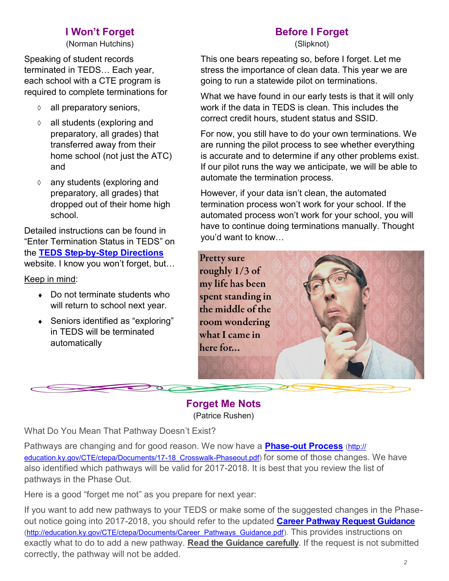#### **I Won't Forget**

(Norman Hutchins)

<span id="page-1-0"></span>Speaking of student records terminated in TEDS… Each year, each school with a CTE program is required to complete terminations for

- $\Diamond$  all preparatory seniors,
- $\Diamond$  all students (exploring and preparatory, all grades) that transferred away from their home school (not just the ATC) and
- any students (exploring and preparatory, all grades) that dropped out of their home high school.

Detailed instructions can be found in "Enter Termination Status in TEDS" on the **TEDS Step-by-[Step Directions](http://education.ky.gov/CTE/teds/Pages/TEDSStepbyStep.aspx)** website. I know you won't forget, but…

Keep in mind:

- ◆ Do not terminate students who will return to school next year.
- Seniors identified as "exploring" in TEDS will be terminated automatically

# **Before I Forget**

(Slipknot)

This one bears repeating so, before I forget. Let me stress the importance of clean data. This year we are going to run a statewide pilot on terminations.

What we have found in our early tests is that it will only work if the data in TEDS is clean. This includes the correct credit hours, student status and SSID.

For now, you still have to do your own terminations. We are running the pilot process to see whether everything is accurate and to determine if any other problems exist. If our pilot runs the way we anticipate, we will be able to automate the termination process.

However, if your data isn't clean, the automated termination process won't work for your school. If the automated process won't work for your school, you will have to continue doing terminations manually. Thought you'd want to know…

**Pretty sure** roughly 1/3 of my life has been spent standing in the middle of the room wondering what I came in here for...

**Forget Me Nots** (Patrice Rushen)

What Do You Mean That Pathway Doesn't Exist?

Pathways are changing and for good reason. We now have a **Phase-[out Process](http://education.ky.gov/CTE/ctepa/Documents/17-18_Crosswalk-Phaseout.pdf)** ([http://](http://education.ky.gov/CTE/ctepa/Documents/17-18_Crosswalk-Phaseout.pdf) [education.ky.gov/CTE/ctepa/Documents/17](http://education.ky.gov/CTE/ctepa/Documents/17-18_Crosswalk-Phaseout.pdf)-18\_Crosswalk-Phaseout.pdf) for some of those changes. We have also identified which pathways will be valid for 2017-2018. It is best that you review the list of pathways in the Phase Out.

Here is a good "forget me not" as you prepare for next year:

If you want to add new pathways to your TEDS or make some of the suggested changes in the Phaseout notice going into 2017-2018, you should refer to the updated **[Career Pathway Request Guidance](http://education.ky.gov/CTE/ctepa/Documents/Career_Pathways_Guidance.pdf)** [\(http://education.ky.gov/CTE/ctepa/Documents/Career\\_Pathways\\_Guidance.pdf\).](http://education.ky.gov/CTE/ctepa/Documents/Career_Pathways_Guidance.pdf) This provides instructions on exactly what to do to add a new pathway. **Read the Guidance carefully**. If the request is not submitted correctly, the pathway will not be added.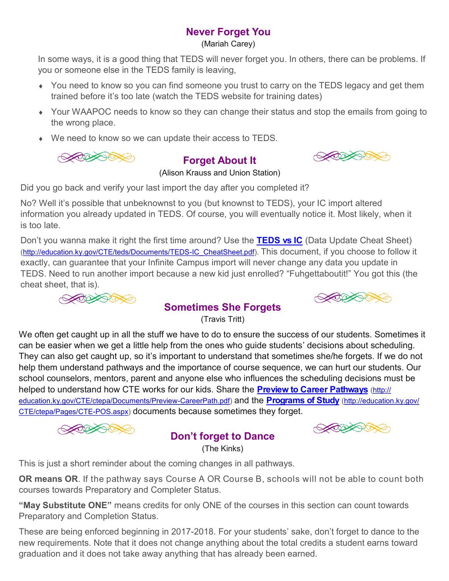## **Never Forget You**

(Mariah Carey)

<span id="page-2-0"></span>In some ways, it is a good thing that TEDS will never forget you. In others, there can be problems. If you or someone else in the TEDS family is leaving,

- You need to know so you can find someone you trust to carry on the TEDS legacy and get them trained before it's too late (watch the TEDS website for training dates)
- Your WAAPOC needs to know so they can change their status and stop the emails from going to the wrong place.
- We need to know so we can update their access to TEDS.

$$
\text{M}\left(\text{M}\right)
$$

### **Forget About It**





(Alison Krauss and Union Station)

Did you go back and verify your last import the day after you completed it?

No? Well it's possible that unbeknownst to you (but knownst to TEDS), your IC import altered information you already updated in TEDS. Of course, you will eventually notice it. Most likely, when it is too late.

Don't you wanna make it right the first time around? Use the **[TEDS vs IC](http://education.ky.gov/CTE/teds/Documents/TEDS-IC_CheatSheet.pdf)** (Data Update Cheat Sheet) [\(http://education.ky.gov/CTE/teds/Documents/TEDS](http://education.ky.gov/CTE/teds/Documents/TEDS-IC_CheatSheet.pdf)-IC\_CheatSheet.pdf). This document, if you choose to follow it exactly, can guarantee that your Infinite Campus import will never change any data you update in TEDS. Need to run another import because a new kid just enrolled? "Fuhgettaboutit!" You got this (the cheat sheet, that is).





### **Sometimes She Forgets**

(Travis Tritt)

We often get caught up in all the stuff we have to do to ensure the success of our students. Sometimes it can be easier when we get a little help from the ones who guide students' decisions about scheduling. They can also get caught up, so it's important to understand that sometimes she/he forgets. If we do not help them understand pathways and the importance of course sequence, we can hurt our students. Our school counselors, mentors, parent and anyone else who influences the scheduling decisions must be helped to understand how CTE works for our kids. Share the **[Preview to Career Pathways](http://education.ky.gov/CTE/ctepa/Documents/Preview-CareerPath.pdf)** ([http://](http://education.ky.gov/CTE/ctepa/Documents/Preview-CareerPath.pdf) [education.ky.gov/CTE/ctepa/Documents/Preview](http://education.ky.gov/CTE/ctepa/Documents/Preview-CareerPath.pdf)-CareerPath.pdf) and the **[Programs of Study](http://education.ky.gov/CTE/ctepa/Pages/CTE-POS.aspx)** [\(http://education.ky.gov/](http://education.ky.gov/CTE/ctepa/Pages/CTE-POS.aspx) [CTE/ctepa/Pages/CTE](http://education.ky.gov/CTE/ctepa/Pages/CTE-POS.aspx)-POS.aspx) documents because sometimes they forget.



#### **Don't forget to Dance** (The Kinks)

**SOFFICERS** 

This is just a short reminder about the coming changes in all pathways.

**OR means OR**. If the pathway says Course A OR Course B, schools will not be able to count both courses towards Preparatory and Completer Status.

**"May Substitute ONE"** means credits for only ONE of the courses in this section can count towards Preparatory and Completion Status.

These are being enforced beginning in 2017-2018. For your students' sake, don't forget to dance to the new requirements. Note that it does not change anything about the total credits a student earns toward graduation and it does not take away anything that has already been earned.